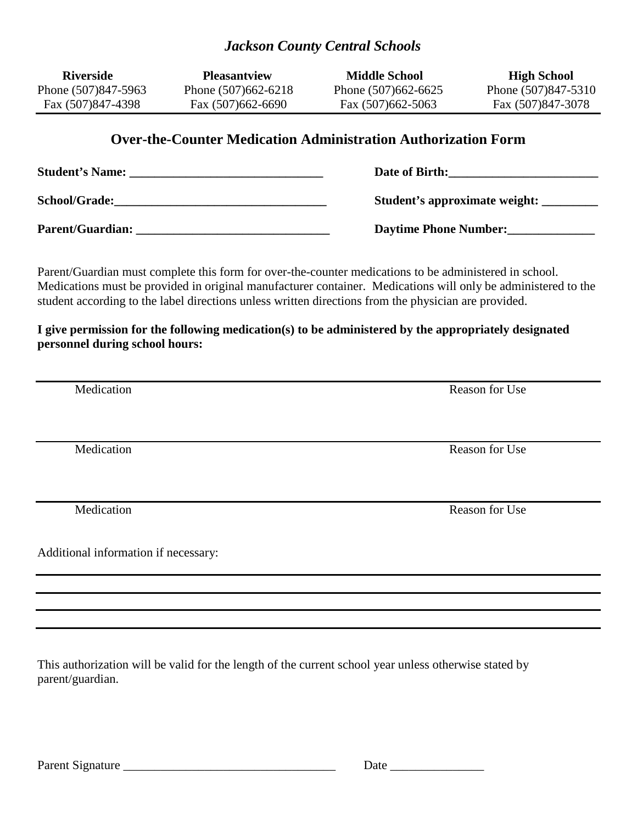## *Jackson County Central Schools*

| <b>Riverside</b>                                                                                                                                                                                                                                                                                                                                                                                                                        | <b>Pleasantview</b>                      | <b>Middle School</b>                     | <b>High School</b>                       |  |  |  |  |
|-----------------------------------------------------------------------------------------------------------------------------------------------------------------------------------------------------------------------------------------------------------------------------------------------------------------------------------------------------------------------------------------------------------------------------------------|------------------------------------------|------------------------------------------|------------------------------------------|--|--|--|--|
| Phone (507)847-5963<br>Fax (507)847-4398                                                                                                                                                                                                                                                                                                                                                                                                | Phone (507)662-6218<br>Fax (507)662-6690 | Phone (507)662-6625<br>Fax (507)662-5063 | Phone (507)847-5310<br>Fax (507)847-3078 |  |  |  |  |
| <b>Over-the-Counter Medication Administration Authorization Form</b>                                                                                                                                                                                                                                                                                                                                                                    |                                          |                                          |                                          |  |  |  |  |
|                                                                                                                                                                                                                                                                                                                                                                                                                                         |                                          | Date of Birth:                           |                                          |  |  |  |  |
|                                                                                                                                                                                                                                                                                                                                                                                                                                         |                                          |                                          |                                          |  |  |  |  |
|                                                                                                                                                                                                                                                                                                                                                                                                                                         |                                          | Daytime Phone Number:                    |                                          |  |  |  |  |
| Parent/Guardian must complete this form for over-the-counter medications to be administered in school.<br>Medications must be provided in original manufacturer container. Medications will only be administered to the<br>student according to the label directions unless written directions from the physician are provided.<br>I give permission for the following medication(s) to be administered by the appropriately designated |                                          |                                          |                                          |  |  |  |  |
| personnel during school hours:                                                                                                                                                                                                                                                                                                                                                                                                          |                                          |                                          |                                          |  |  |  |  |
| Medication                                                                                                                                                                                                                                                                                                                                                                                                                              |                                          | <b>Reason for Use</b>                    |                                          |  |  |  |  |
| Medication                                                                                                                                                                                                                                                                                                                                                                                                                              |                                          | <b>Reason for Use</b>                    |                                          |  |  |  |  |
| Medication                                                                                                                                                                                                                                                                                                                                                                                                                              |                                          | <b>Reason for Use</b>                    |                                          |  |  |  |  |
| Additional information if necessary:                                                                                                                                                                                                                                                                                                                                                                                                    |                                          |                                          |                                          |  |  |  |  |
|                                                                                                                                                                                                                                                                                                                                                                                                                                         |                                          |                                          |                                          |  |  |  |  |
|                                                                                                                                                                                                                                                                                                                                                                                                                                         |                                          |                                          |                                          |  |  |  |  |
|                                                                                                                                                                                                                                                                                                                                                                                                                                         |                                          |                                          |                                          |  |  |  |  |

This authorization will be valid for the length of the current school year unless otherwise stated by parent/guardian.